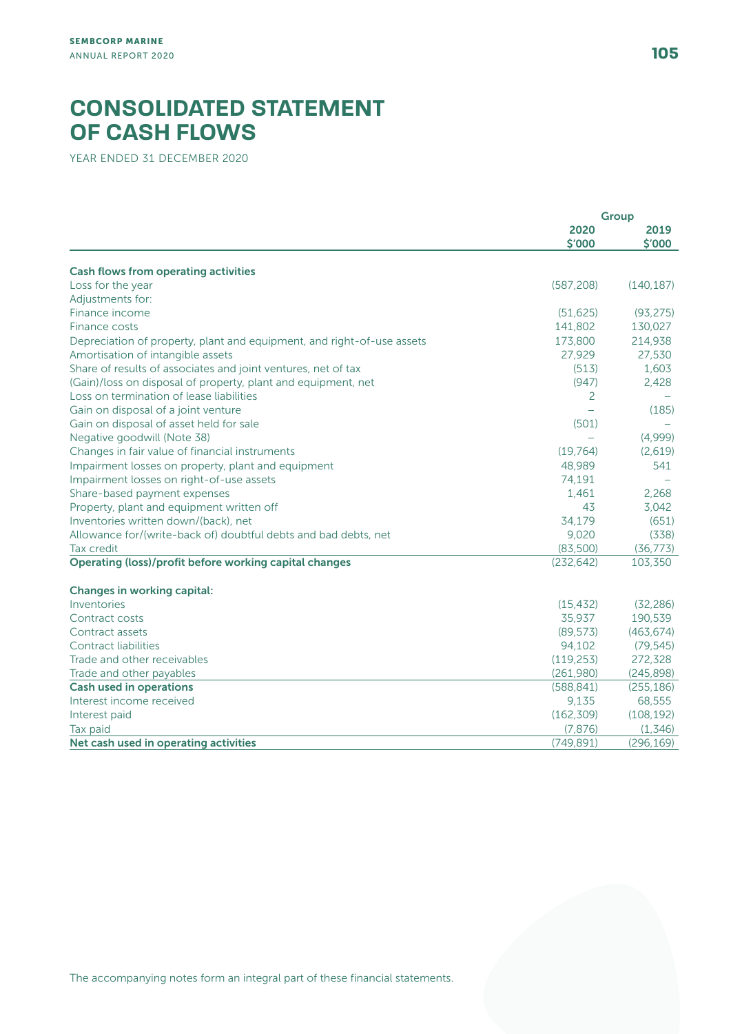## **CONSOLIDATED STATEMENT OF CASH FLOWS**

YEAR ENDED 31 DECEMBER 2020

|                                                                        | <b>Group</b> |            |
|------------------------------------------------------------------------|--------------|------------|
|                                                                        | 2020         | 2019       |
|                                                                        | \$'000       | \$'000     |
|                                                                        |              |            |
| <b>Cash flows from operating activities</b>                            |              |            |
| Loss for the year                                                      | (587, 208)   | (140, 187) |
| Adjustments for:                                                       |              |            |
| Finance income                                                         | (51, 625)    | (93, 275)  |
| Finance costs                                                          | 141,802      | 130,027    |
| Depreciation of property, plant and equipment, and right-of-use assets | 173,800      | 214,938    |
| Amortisation of intangible assets                                      | 27,929       | 27,530     |
| Share of results of associates and joint ventures, net of tax          | (513)        | 1,603      |
| (Gain)/loss on disposal of property, plant and equipment, net          | (947)        | 2,428      |
| Loss on termination of lease liabilities                               | 2            |            |
| Gain on disposal of a joint venture                                    |              | (185)      |
| Gain on disposal of asset held for sale                                | (501)        |            |
| Negative goodwill (Note 38)                                            |              | (4,999)    |
| Changes in fair value of financial instruments                         | (19, 764)    | (2,619)    |
| Impairment losses on property, plant and equipment                     | 48.989       | 541        |
| Impairment losses on right-of-use assets                               | 74,191       |            |
| Share-based payment expenses                                           | 1.461        | 2.268      |
| Property, plant and equipment written off                              | 43           | 3.042      |
| Inventories written down/(back), net                                   | 34.179       | (651)      |
| Allowance for/(write-back of) doubtful debts and bad debts, net        | 9,020        | (338)      |
| Tax credit                                                             | (83,500)     | (36, 773)  |
| Operating (loss)/profit before working capital changes                 | (232, 642)   | 103,350    |
|                                                                        |              |            |
| <b>Changes in working capital:</b>                                     |              |            |
| Inventories                                                            | (15, 432)    | (32, 286)  |
| Contract costs                                                         | 35,937       | 190,539    |
| Contract assets                                                        | (89, 573)    | (463, 674) |
| Contract liabilities                                                   | 94,102       | (79, 545)  |
| Trade and other receivables                                            | (119, 253)   | 272,328    |
| Trade and other payables                                               | (261,980)    | (245, 898) |
| <b>Cash used in operations</b>                                         | (588, 841)   | (255, 186) |
| Interest income received                                               | 9,135        | 68,555     |
| Interest paid                                                          | (162, 309)   | (108, 192) |
| Tax paid                                                               | (7, 876)     | (1, 346)   |
| Net cash used in operating activities                                  | (749, 891)   | (296, 169) |